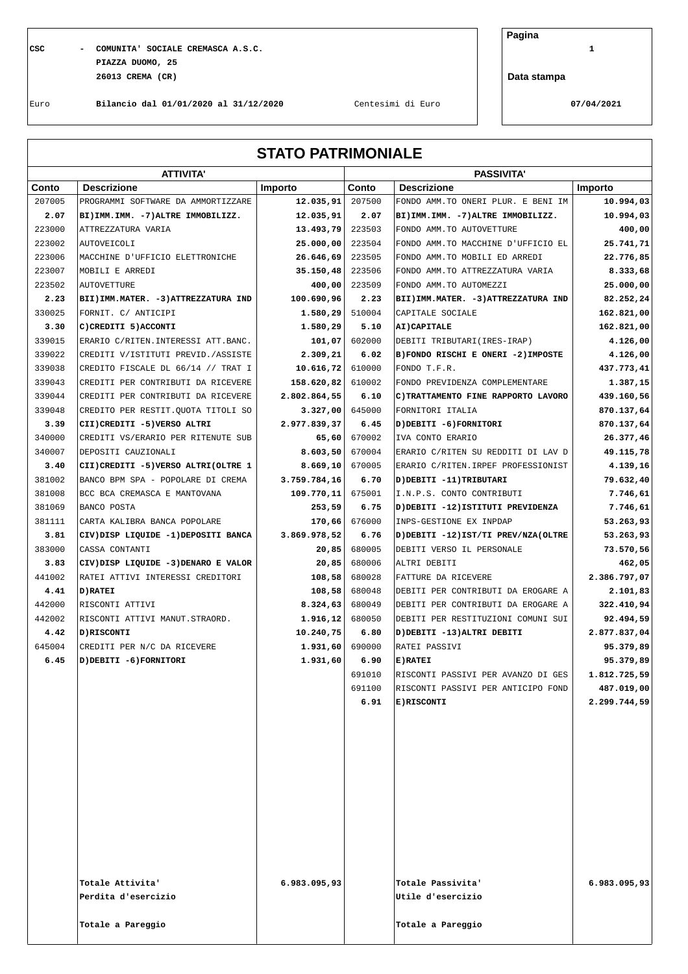**CSC - COMUNITA' SOCIALE CREMASCA A.S.C. 1 PIAZZA DUOMO, 25 26013 CREMA (CR)**

**Pagina**

**Data stampa**

Euro **Bilancio dal 01/01/2020 al 31/12/2020** Centesimi di Euro **07/04/2021**

| <b>STATO PATRIMONIALE</b> |  |  |  |
|---------------------------|--|--|--|
|---------------------------|--|--|--|

|        | <b>ATTIVITA'</b>                       |              | <b>PASSIVITA'</b> |                                        |              |  |
|--------|----------------------------------------|--------------|-------------------|----------------------------------------|--------------|--|
| Conto  | <b>Descrizione</b>                     | Importo      | Conto             | <b>Descrizione</b>                     | Importo      |  |
| 207005 | PROGRAMMI SOFTWARE DA AMMORTIZZARE     | 12.035,91    | 207500            | FONDO AMM. TO ONERI PLUR. E BENI IM    | 10.994,03    |  |
| 2.07   | BI) IMM. IMM. - 7) ALTRE IMMOBILIZZ.   | 12.035,91    | 2.07              | BI) IMM. IMM. -7) ALTRE IMMOBILIZZ.    | 10.994,03    |  |
| 223000 | ATTREZZATURA VARIA                     | 13.493,79    | 223503            | FONDO AMM. TO AUTOVETTURE              | 400,00       |  |
| 223002 | <b>AUTOVEICOLI</b>                     | 25.000,00    | 223504            | FONDO AMM. TO MACCHINE D'UFFICIO EL    | 25.741,71    |  |
| 223006 | MACCHINE D'UFFICIO ELETTRONICHE        | 26.646,69    | 223505            | FONDO AMM. TO MOBILI ED ARREDI         | 22.776,85    |  |
| 223007 | MOBILI E ARREDI                        | 35.150,48    | 223506            | FONDO AMM. TO ATTREZZATURA VARIA       | 8.333,68     |  |
| 223502 | <b>AUTOVETTURE</b>                     | 400,00       | 223509            | FONDO AMM. TO AUTOMEZZI                | 25.000,00    |  |
| 2.23   | BII) IMM. MATER. - 3) ATTREZZATURA IND | 100.690,96   | 2.23              | BII) IMM. MATER. - 3) ATTREZZATURA IND | 82.252,24    |  |
| 330025 | FORNIT. C/ ANTICIPI                    | 1.580,29     | 510004            | CAPITALE SOCIALE                       | 162.821,00   |  |
| 3.30   | C) CREDITI 5) ACCONTI                  | 1.580,29     | 5.10              | AI) CAPITALE                           | 162.821,00   |  |
| 339015 | ERARIO C/RITEN. INTERESSI ATT. BANC.   | 101,07       | 602000            | DEBITI TRIBUTARI (IRES-IRAP)           | 4.126,00     |  |
| 339022 | CREDITI V/ISTITUTI PREVID./ASSISTE     | 2.309,21     | 6.02              | B) FONDO RISCHI E ONERI -2) IMPOSTE    | 4.126,00     |  |
| 339038 | CREDITO FISCALE DL 66/14 // TRAT I     | 10.616,72    | 610000            | FONDO T.F.R.                           | 437.773,41   |  |
| 339043 | CREDITI PER CONTRIBUTI DA RICEVERE     | 158.620,82   | 610002            | FONDO PREVIDENZA COMPLEMENTARE         | 1.387,15     |  |
| 339044 | CREDITI PER CONTRIBUTI DA RICEVERE     | 2.802.864,55 | 6.10              | C) TRATTAMENTO FINE RAPPORTO LAVORO    | 439.160,56   |  |
| 339048 | CREDITO PER RESTIT.QUOTA TITOLI SO     | 3.327,00     | 645000            | FORNITORI ITALIA                       | 870.137,64   |  |
| 3.39   | CII) CREDITI -5) VERSO ALTRI           | 2.977.839,37 | 6.45              | D) DEBITI -6) FORNITORI                | 870.137,64   |  |
| 340000 | CREDITI VS/ERARIO PER RITENUTE SUB     | 65,60        | 670002            | IVA CONTO ERARIO                       | 26.377,46    |  |
| 340007 | DEPOSITI CAUZIONALI                    | 8.603,50     | 670004            | ERARIO C/RITEN SU REDDITI DI LAV D     | 49.115,78    |  |
| 3.40   | CII) CREDITI -5) VERSO ALTRI (OLTRE 1  | 8.669,10     | 670005            | ERARIO C/RITEN. IRPEF PROFESSIONIST    | 4.139,16     |  |
| 381002 | BANCO BPM SPA - POPOLARE DI CREMA      | 3.759.784,16 | 6.70              | D) DEBITI -11) TRIBUTARI               | 79.632,40    |  |
| 381008 | BCC BCA CREMASCA E MANTOVANA           | 109.770, 11  | 675001            | I.N.P.S. CONTO CONTRIBUTI              | 7.746,61     |  |
| 381069 | BANCO POSTA                            | 253,59       | 6.75              | D) DEBITI -12) ISTITUTI PREVIDENZA     | 7.746,61     |  |
| 381111 | CARTA KALIBRA BANCA POPOLARE           | 170,66       | 676000            | INPS-GESTIONE EX INPDAP                | 53.263,93    |  |
| 3.81   | CIV) DISP LIQUIDE -1) DEPOSITI BANCA   | 3.869.978,52 | 6.76              | D) DEBITI -12) IST/TI PREV/NZA(OLTRE   | 53.263,93    |  |
| 383000 | CASSA CONTANTI                         | 20,85        | 680005            | DEBITI VERSO IL PERSONALE              | 73.570,56    |  |
| 3.83   | CIV) DISP LIQUIDE -3) DENARO E VALOR   | 20,85        | 680006            | ALTRI DEBITI                           | 462,05       |  |
| 441002 | RATEI ATTIVI INTERESSI CREDITORI       | 108,58       | 680028            | FATTURE DA RICEVERE                    | 2.386.797,07 |  |
| 4.41   | D) RATEI                               | 108,58       | 680048            | DEBITI PER CONTRIBUTI DA EROGARE A     | 2.101,83     |  |
| 442000 | RISCONTI ATTIVI                        | 8.324,63     | 680049            | DEBITI PER CONTRIBUTI DA EROGARE A     | 322.410,94   |  |
| 442002 | RISCONTI ATTIVI MANUT.STRAORD.         | 1.916,12     | 680050            | DEBITI PER RESTITUZIONI COMUNI SUI     | 92.494,59    |  |
| 4.42   | D) RISCONTI                            | 10.240,75    | 6.80              | D) DEBITI -13) ALTRI DEBITI            | 2.877.837,04 |  |
| 645004 | CREDITI PER N/C DA RICEVERE            | 1.931,60     | 690000            | RATEI PASSIVI                          | 95.379,89    |  |
| 6.45   | D) DEBITI -6) FORNITORI                | 1.931,60     | 6.90              | E) RATEI                               | 95.379,89    |  |
|        |                                        |              | 691010            | RISCONTI PASSIVI PER AVANZO DI GES     | 1.812.725,59 |  |
|        |                                        |              | 691100            | RISCONTI PASSIVI PER ANTICIPO FOND     | 487.019,00   |  |
|        |                                        |              | 6.91              | E)RISCONTI                             | 2.299.744,59 |  |
|        |                                        |              |                   |                                        |              |  |
|        |                                        |              |                   |                                        |              |  |
|        |                                        |              |                   |                                        |              |  |
|        |                                        |              |                   |                                        |              |  |
|        |                                        |              |                   |                                        |              |  |
|        |                                        |              |                   |                                        |              |  |
|        |                                        |              |                   |                                        |              |  |
|        |                                        |              |                   |                                        |              |  |
|        |                                        |              |                   |                                        |              |  |
|        |                                        |              |                   |                                        |              |  |
|        |                                        |              |                   |                                        |              |  |
|        |                                        |              |                   |                                        |              |  |
|        | Totale Attivita'                       | 6.983.095,93 |                   | Totale Passivita'                      | 6.983.095,93 |  |
|        | Perdita d'esercizio                    |              |                   | Utile d'esercizio                      |              |  |
|        |                                        |              |                   |                                        |              |  |
|        | Totale a Pareggio                      |              |                   | Totale a Pareggio                      |              |  |
|        |                                        |              |                   |                                        |              |  |
|        |                                        |              |                   |                                        |              |  |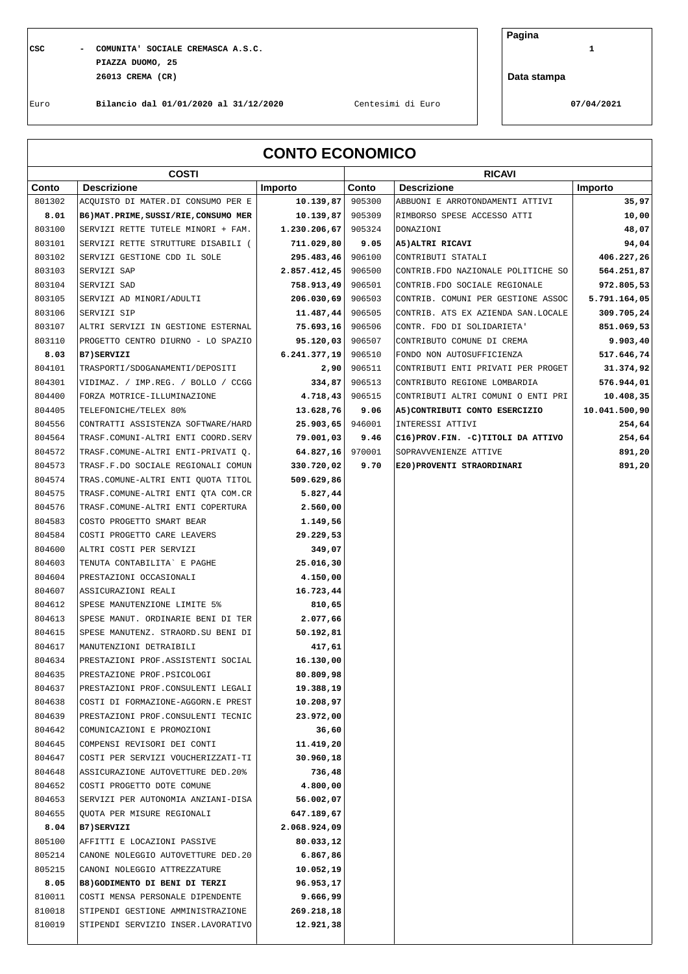## **CSC - COMUNITA' SOCIALE CREMASCA A.S.C. 1 PIAZZA DUOMO, 25 26013 CREMA (CR)**

**Pagina**

**Data stampa**

Euro **Bilancio dal 01/01/2020 al 31/12/2020** Centesimi di Euro **07/04/2021**

| <b>CONTO ECONOMICO</b> |                                        |              |        |                                       |               |
|------------------------|----------------------------------------|--------------|--------|---------------------------------------|---------------|
| <b>COSTI</b>           |                                        |              |        | <b>RICAVI</b>                         |               |
| Conto                  | <b>Descrizione</b>                     | Importo      | Conto  | <b>Descrizione</b>                    | Importo       |
| 801302                 | ACQUISTO DI MATER.DI CONSUMO PER E     | 10.139,87    | 905300 | ABBUONI E ARROTONDAMENTI ATTIVI       | 35,97         |
| 8.01                   | B6) MAT. PRIME, SUSSI/RIE, CONSUMO MER | 10.139,87    | 905309 | RIMBORSO SPESE ACCESSO ATTI           | 10,00         |
| 803100                 | SERVIZI RETTE TUTELE MINORI + FAM.     | 1.230.206,67 | 905324 | DONAZIONI                             | 48,07         |
| 803101                 | SERVIZI RETTE STRUTTURE DISABILI (     | 711.029,80   | 9.05   | A5) ALTRI RICAVI                      | 94,04         |
| 803102                 | SERVIZI GESTIONE CDD IL SOLE           | 295.483,46   | 906100 | CONTRIBUTI STATALI                    | 406.227,26    |
| 803103                 | SERVIZI SAP                            | 2.857.412,45 | 906500 | CONTRIB. FDO NAZIONALE POLITICHE SO   | 564.251,87    |
| 803104                 | SERVIZI SAD                            | 758.913,49   | 906501 | CONTRIB. FDO SOCIALE REGIONALE        | 972.805,53    |
| 803105                 | SERVIZI AD MINORI/ADULTI               | 206.030,69   | 906503 | CONTRIB. COMUNI PER GESTIONE ASSOC    | 5.791.164,05  |
| 803106                 | SERVIZI SIP                            | 11.487,44    | 906505 | CONTRIB. ATS EX AZIENDA SAN.LOCALE    | 309.705,24    |
| 803107                 | ALTRI SERVIZI IN GESTIONE ESTERNAL     | 75.693,16    | 906506 | CONTR. FDO DI SOLIDARIETA'            | 851.069,53    |
| 803110                 | PROGETTO CENTRO DIURNO - LO SPAZIO     | 95.120,03    | 906507 | CONTRIBUTO COMUNE DI CREMA            | 9.903, 40     |
| 8.03                   | B7) SERVIZI                            | 6.241.377,19 | 906510 | FONDO NON AUTOSUFFICIENZA             | 517.646,74    |
| 804101                 | TRASPORTI/SDOGANAMENTI/DEPOSITI        | 2,90         | 906511 | CONTRIBUTI ENTI PRIVATI PER PROGET    | 31.374,92     |
| 804301                 | VIDIMAZ. / IMP.REG. / BOLLO / CCGG     | 334,87       | 906513 | CONTRIBUTO REGIONE LOMBARDIA          | 576.944,01    |
| 804400                 | FORZA MOTRICE-ILLUMINAZIONE            | 4.718,43     | 906515 | CONTRIBUTI ALTRI COMUNI O ENTI PRI    | 10.408,35     |
| 804405                 | TELEFONICHE/TELEX 80%                  | 13.628,76    | 9.06   | A5) CONTRIBUTI CONTO ESERCIZIO        | 10.041.500,90 |
| 804556                 | CONTRATTI ASSISTENZA SOFTWARE/HARD     | 25.903,65    | 946001 | INTERESSI ATTIVI                      | 254,64        |
| 804564                 | TRASF.COMUNI-ALTRI ENTI COORD.SERV     | 79.001,03    | 9.46   | C16) PROV. FIN. - C) TITOLI DA ATTIVO | 254,64        |
| 804572                 | TRASF.COMUNE-ALTRI ENTI-PRIVATI Q.     | 64.827,16    | 970001 | SOPRAVVENIENZE ATTIVE                 | 891,20        |
| 804573                 | TRASF.F.DO SOCIALE REGIONALI COMUN     | 330.720,02   | 9.70   | E20) PROVENTI STRAORDINARI            | 891,20        |
| 804574                 | TRAS.COMUNE-ALTRI ENTI QUOTA TITOL     | 509.629,86   |        |                                       |               |
| 804575                 | TRASF.COMUNE-ALTRI ENTI QTA COM.CR     | 5.827,44     |        |                                       |               |
| 804576                 | TRASF.COMUNE-ALTRI ENTI COPERTURA      | 2.560,00     |        |                                       |               |
| 804583                 | COSTO PROGETTO SMART BEAR              | 1.149,56     |        |                                       |               |
| 804584                 | COSTI PROGETTO CARE LEAVERS            | 29.229,53    |        |                                       |               |
| 804600                 | ALTRI COSTI PER SERVIZI                | 349,07       |        |                                       |               |
| 804603                 | TENUTA CONTABILITA` E PAGHE            | 25.016,30    |        |                                       |               |
| 804604                 | PRESTAZIONI OCCASIONALI                | 4.150,00     |        |                                       |               |
| 804607                 | ASSICURAZIONI REALI                    | 16.723,44    |        |                                       |               |
| 804612                 | SPESE MANUTENZIONE LIMITE 5%           | 810,65       |        |                                       |               |
| 804613                 | SPESE MANUT. ORDINARIE BENI DI TER     | 2.077,66     |        |                                       |               |
| 804615                 | SPESE MANUTENZ. STRAORD. SU BENI DI    | 50.192,81    |        |                                       |               |
| 804617                 | MANUTENZIONI DETRAIBILI                | 417,61       |        |                                       |               |
| 804634                 | PRESTAZIONI PROF.ASSISTENTI SOCIAL     | 16.130,00    |        |                                       |               |
| 804635                 | PRESTAZIONE PROF. PSICOLOGI            | 80.809,98    |        |                                       |               |
| 804637                 | PRESTAZIONI PROF. CONSULENTI LEGALI    | 19.388,19    |        |                                       |               |
| 804638                 | COSTI DI FORMAZIONE-AGGORN.E PREST     | 10.208,97    |        |                                       |               |
| 804639                 | PRESTAZIONI PROF. CONSULENTI TECNIC    | 23.972,00    |        |                                       |               |
| 804642                 | COMUNICAZIONI E PROMOZIONI             | 36,60        |        |                                       |               |
| 804645                 | COMPENSI REVISORI DEI CONTI            | 11.419,20    |        |                                       |               |
| 804647                 | COSTI PER SERVIZI VOUCHERIZZATI-TI     | 30.960,18    |        |                                       |               |
| 804648                 | ASSICURAZIONE AUTOVETTURE DED. 20%     | 736,48       |        |                                       |               |
| 804652                 | COSTI PROGETTO DOTE COMUNE             | 4.800,00     |        |                                       |               |
| 804653                 | SERVIZI PER AUTONOMIA ANZIANI-DISA     | 56.002,07    |        |                                       |               |
| 804655                 | QUOTA PER MISURE REGIONALI             | 647.189,67   |        |                                       |               |
| 8.04                   | B7)SERVIZI                             | 2.068.924,09 |        |                                       |               |
| 805100                 | AFFITTI E LOCAZIONI PASSIVE            | 80.033,12    |        |                                       |               |
| 805214                 | CANONE NOLEGGIO AUTOVETTURE DED. 20    | 6.867,86     |        |                                       |               |
| 805215                 | CANONI NOLEGGIO ATTREZZATURE           | 10.052,19    |        |                                       |               |
| 8.05                   | B8) GODIMENTO DI BENI DI TERZI         | 96.953,17    |        |                                       |               |
| 810011                 | COSTI MENSA PERSONALE DIPENDENTE       | 9.666,99     |        |                                       |               |
| 810018                 | STIPENDI GESTIONE AMMINISTRAZIONE      | 269.218,18   |        |                                       |               |
| 810019                 | STIPENDI SERVIZIO INSER.LAVORATIVO     | 12.921,38    |        |                                       |               |
|                        |                                        |              |        |                                       |               |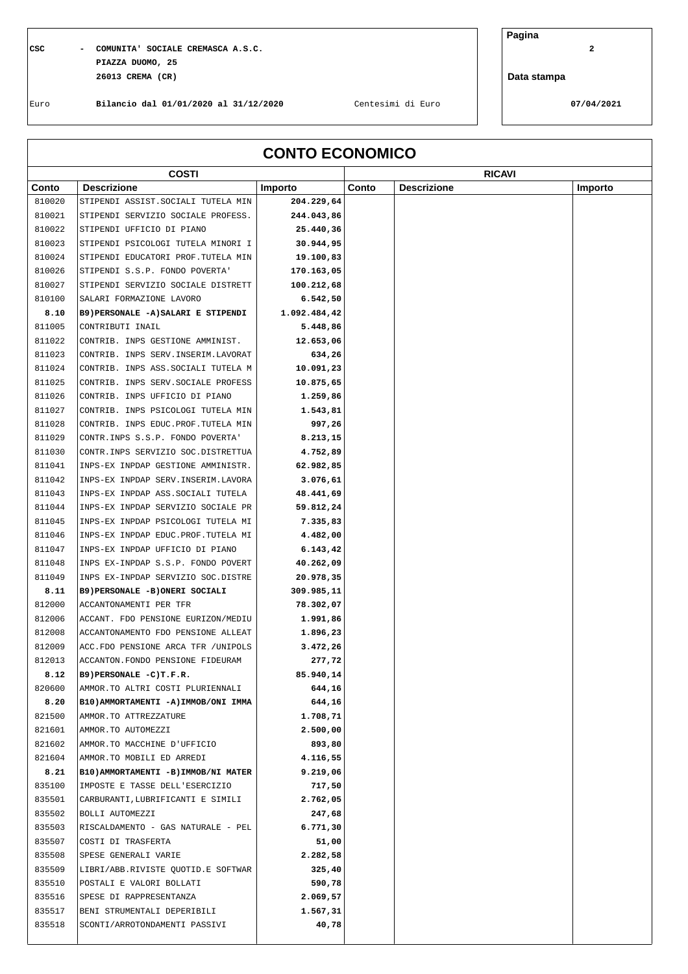## **CSC - COMUNITA' SOCIALE CREMASCA A.S.C. 2 PIAZZA DUOMO, 25 26013 CREMA (CR)**

**Pagina**

**Data stampa**

 $\sqrt{ }$ 

Euro **Bilancio dal 01/01/2020 al 31/12/2020** Centesimi di Euro **07/04/2021**

Ī

| <b>CONTO ECONOMICO</b> |                                             |                  |       |                    |         |
|------------------------|---------------------------------------------|------------------|-------|--------------------|---------|
|                        | <b>COSTI</b>                                |                  |       | <b>RICAVI</b>      |         |
| Conto                  | <b>Descrizione</b>                          | Importo          | Conto | <b>Descrizione</b> | Importo |
| 810020                 | STIPENDI ASSIST. SOCIALI TUTELA MIN         | 204.229,64       |       |                    |         |
| 810021                 | STIPENDI SERVIZIO SOCIALE PROFESS.          | 244.043,86       |       |                    |         |
| 810022                 | STIPENDI UFFICIO DI PIANO                   | 25.440,36        |       |                    |         |
| 810023                 | STIPENDI PSICOLOGI TUTELA MINORI I          | 30.944,95        |       |                    |         |
| 810024                 | STIPENDI EDUCATORI PROF.TUTELA MIN          | 19.100,83        |       |                    |         |
| 810026                 | STIPENDI S.S.P. FONDO POVERTA'              | 170.163,05       |       |                    |         |
| 810027                 | STIPENDI SERVIZIO SOCIALE DISTRETT          | 100.212,68       |       |                    |         |
| 810100                 | SALARI FORMAZIONE LAVORO                    | 6.542,50         |       |                    |         |
| 8.10                   | B9) PERSONALE -A) SALARI E STIPENDI         | 1.092.484,42     |       |                    |         |
| 811005                 | CONTRIBUTI INAIL                            | 5.448,86         |       |                    |         |
| 811022                 | CONTRIB. INPS GESTIONE AMMINIST.            | 12.653,06        |       |                    |         |
| 811023                 | CONTRIB. INPS SERV. INSERIM. LAVORAT        | 634,26           |       |                    |         |
| 811024                 | CONTRIB. INPS ASS. SOCIALI TUTELA M         | 10.091,23        |       |                    |         |
| 811025                 | CONTRIB. INPS SERV. SOCIALE PROFESS         | 10.875,65        |       |                    |         |
| 811026                 | CONTRIB. INPS UFFICIO DI PIANO              | 1.259,86         |       |                    |         |
| 811027                 | CONTRIB. INPS PSICOLOGI TUTELA MIN          | 1.543,81         |       |                    |         |
| 811028                 | CONTRIB. INPS EDUC. PROF. TUTELA MIN        | 997,26           |       |                    |         |
| 811029                 | CONTR. INPS S.S.P. FONDO POVERTA'           | 8.213,15         |       |                    |         |
| 811030                 | CONTR. INPS SERVIZIO SOC. DISTRETTUA        | 4.752,89         |       |                    |         |
| 811041                 | INPS-EX INPDAP GESTIONE AMMINISTR.          | 62.982,85        |       |                    |         |
| 811042                 | INPS-EX INPDAP SERV. INSERIM. LAVORA        | 3.076,61         |       |                    |         |
| 811043                 | INPS-EX INPDAP ASS. SOCIALI TUTELA          | 48.441,69        |       |                    |         |
| 811044                 | INPS-EX INPDAP SERVIZIO SOCIALE PR          | 59.812,24        |       |                    |         |
| 811045                 | INPS-EX INPDAP PSICOLOGI TUTELA MI          | 7.335,83         |       |                    |         |
| 811046                 | INPS-EX INPDAP EDUC.PROF.TUTELA MI          | 4.482,00         |       |                    |         |
| 811047                 | INPS-EX INPDAP UFFICIO DI PIANO             | 6.143, 42        |       |                    |         |
| 811048                 | INPS EX-INPDAP S.S.P. FONDO POVERT          | 40.262,09        |       |                    |         |
| 811049                 | INPS EX-INPDAP SERVIZIO SOC.DISTRE          | 20.978,35        |       |                    |         |
| 8.11                   | B9) PERSONALE -B) ONERI SOCIALI             | 309.985,11       |       |                    |         |
| 812000                 | ACCANTONAMENTI PER TFR                      | 78.302,07        |       |                    |         |
| 812006                 | ACCANT. FDO PENSIONE EURIZON/MEDIU          | 1.991,86         |       |                    |         |
| 812008                 | ACCANTONAMENTO FDO PENSIONE ALLEAT          | 1.896,23         |       |                    |         |
| 812009                 | ACC.FDO PENSIONE ARCA TFR / UNIPOLS         | 3.472,26         |       |                    |         |
| 812013                 | ACCANTON. FONDO PENSIONE FIDEURAM           | 277,72           |       |                    |         |
| 8.12                   | B9) PERSONALE -C) T.F.R.                    | 85.940,14        |       |                    |         |
| 820600<br>8.20         | AMMOR.TO ALTRI COSTI PLURIENNALI            | 644,16<br>644,16 |       |                    |         |
| 821500                 | B10) AMMORTAMENTI -A) IMMOB/ONI IMMA        | 1.708,71         |       |                    |         |
| 821601                 | AMMOR.TO ATTREZZATURE<br>AMMOR.TO AUTOMEZZI | 2.500,00         |       |                    |         |
| 821602                 | AMMOR.TO MACCHINE D'UFFICIO                 | 893,80           |       |                    |         |
| 821604                 | AMMOR.TO MOBILI ED ARREDI                   | 4.116,55         |       |                    |         |
| 8.21                   | B10) AMMORTAMENTI - B) IMMOB/NI MATER       | 9.219,06         |       |                    |         |
| 835100                 | IMPOSTE E TASSE DELL'ESERCIZIO              | 717,50           |       |                    |         |
| 835501                 | CARBURANTI, LUBRIFICANTI E SIMILI           | 2.762,05         |       |                    |         |
| 835502                 | BOLLI AUTOMEZZI                             | 247,68           |       |                    |         |
| 835503                 | RISCALDAMENTO - GAS NATURALE - PEL          | 6.771,30         |       |                    |         |
| 835507                 | COSTI DI TRASFERTA                          | 51,00            |       |                    |         |
| 835508                 | SPESE GENERALI VARIE                        | 2.282,58         |       |                    |         |
| 835509                 | LIBRI/ABB.RIVISTE QUOTID.E SOFTWAR          | 325,40           |       |                    |         |
| 835510                 | POSTALI E VALORI BOLLATI                    | 590,78           |       |                    |         |
| 835516                 | SPESE DI RAPPRESENTANZA                     | 2.069,57         |       |                    |         |
| 835517                 | BENI STRUMENTALI DEPERIBILI                 | 1.567,31         |       |                    |         |
| 835518                 | SCONTI/ARROTONDAMENTI PASSIVI               | 40,78            |       |                    |         |
|                        |                                             |                  |       |                    |         |